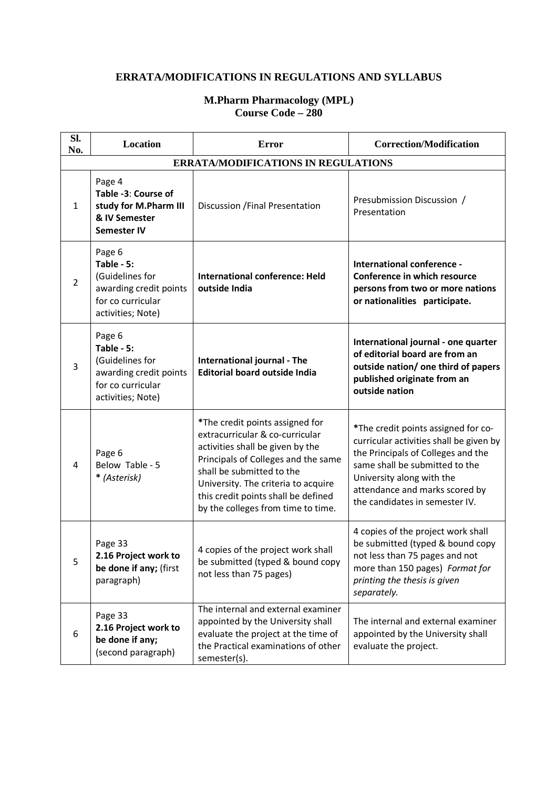## **ERRATA/MODIFICATIONS IN REGULATIONS AND SYLLABUS**

## **M.Pharm Pharmacology (MPL) Course Code – 280**

| Sl.<br>No.     | Location                                                                                                    | <b>Error</b>                                                                                                                                                                                                                                                                                   | <b>Correction/Modification</b>                                                                                                                                                                                                                          |
|----------------|-------------------------------------------------------------------------------------------------------------|------------------------------------------------------------------------------------------------------------------------------------------------------------------------------------------------------------------------------------------------------------------------------------------------|---------------------------------------------------------------------------------------------------------------------------------------------------------------------------------------------------------------------------------------------------------|
|                |                                                                                                             | <b>ERRATA/MODIFICATIONS IN REGULATIONS</b>                                                                                                                                                                                                                                                     |                                                                                                                                                                                                                                                         |
| $\mathbf{1}$   | Page 4<br>Table -3: Course of<br>study for M.Pharm III<br>& IV Semester<br><b>Semester IV</b>               | Discussion / Final Presentation                                                                                                                                                                                                                                                                | Presubmission Discussion /<br>Presentation                                                                                                                                                                                                              |
| $\overline{2}$ | Page 6<br>Table - 5:<br>(Guidelines for<br>awarding credit points<br>for co curricular<br>activities; Note) | <b>International conference: Held</b><br>outside India                                                                                                                                                                                                                                         | International conference -<br>Conference in which resource<br>persons from two or more nations<br>or nationalities participate.                                                                                                                         |
| 3              | Page 6<br>Table - 5:<br>(Guidelines for<br>awarding credit points<br>for co curricular<br>activities; Note) | International journal - The<br><b>Editorial board outside India</b>                                                                                                                                                                                                                            | International journal - one quarter<br>of editorial board are from an<br>outside nation/ one third of papers<br>published originate from an<br>outside nation                                                                                           |
| 4              | Page 6<br>Below Table - 5<br>* (Asterisk)                                                                   | *The credit points assigned for<br>extracurricular & co-curricular<br>activities shall be given by the<br>Principals of Colleges and the same<br>shall be submitted to the<br>University. The criteria to acquire<br>this credit points shall be defined<br>by the colleges from time to time. | *The credit points assigned for co-<br>curricular activities shall be given by<br>the Principals of Colleges and the<br>same shall be submitted to the<br>University along with the<br>attendance and marks scored by<br>the candidates in semester IV. |
| 5              | Page 33<br>2.16 Project work to<br>be done if any; (first<br>paragraph)                                     | 4 copies of the project work shall<br>be submitted (typed & bound copy<br>not less than 75 pages)                                                                                                                                                                                              | 4 copies of the project work shall<br>be submitted (typed & bound copy<br>not less than 75 pages and not<br>more than 150 pages) Format for<br>printing the thesis is given<br>separately.                                                              |
| 6              | Page 33<br>2.16 Project work to<br>be done if any;<br>(second paragraph)                                    | The internal and external examiner<br>appointed by the University shall<br>evaluate the project at the time of<br>the Practical examinations of other<br>semester(s).                                                                                                                          | The internal and external examiner<br>appointed by the University shall<br>evaluate the project.                                                                                                                                                        |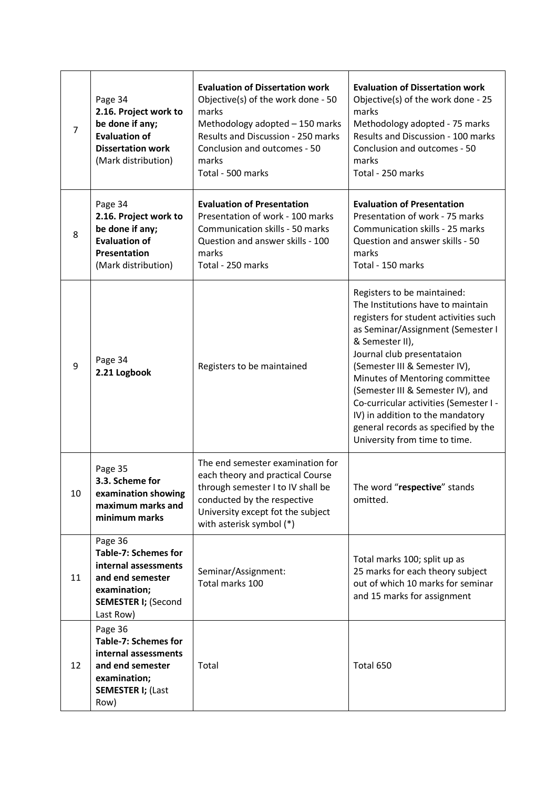| 7  | Page 34<br>2.16. Project work to<br>be done if any;<br><b>Evaluation of</b><br><b>Dissertation work</b><br>(Mark distribution)                | <b>Evaluation of Dissertation work</b><br>Objective(s) of the work done - 50<br>marks<br>Methodology adopted - 150 marks<br>Results and Discussion - 250 marks<br>Conclusion and outcomes - 50<br>marks<br>Total - 500 marks | <b>Evaluation of Dissertation work</b><br>Objective(s) of the work done - 25<br>marks<br>Methodology adopted - 75 marks<br>Results and Discussion - 100 marks<br>Conclusion and outcomes - 50<br>marks<br>Total - 250 marks                                                                                                                                                                                                                                   |
|----|-----------------------------------------------------------------------------------------------------------------------------------------------|------------------------------------------------------------------------------------------------------------------------------------------------------------------------------------------------------------------------------|---------------------------------------------------------------------------------------------------------------------------------------------------------------------------------------------------------------------------------------------------------------------------------------------------------------------------------------------------------------------------------------------------------------------------------------------------------------|
| 8  | Page 34<br>2.16. Project work to<br>be done if any;<br><b>Evaluation of</b><br>Presentation<br>(Mark distribution)                            | <b>Evaluation of Presentation</b><br>Presentation of work - 100 marks<br>Communication skills - 50 marks<br>Question and answer skills - 100<br>marks<br>Total - 250 marks                                                   | <b>Evaluation of Presentation</b><br>Presentation of work - 75 marks<br>Communication skills - 25 marks<br>Question and answer skills - 50<br>marks<br>Total - 150 marks                                                                                                                                                                                                                                                                                      |
| 9  | Page 34<br>2.21 Logbook                                                                                                                       | Registers to be maintained                                                                                                                                                                                                   | Registers to be maintained:<br>The Institutions have to maintain<br>registers for student activities such<br>as Seminar/Assignment (Semester I<br>& Semester II),<br>Journal club presentataion<br>(Semester III & Semester IV),<br>Minutes of Mentoring committee<br>(Semester III & Semester IV), and<br>Co-curricular activities (Semester I -<br>IV) in addition to the mandatory<br>general records as specified by the<br>University from time to time. |
| 10 | Page 35<br>3.3. Scheme for<br>examination showing<br>maximum marks and<br>minimum marks                                                       | The end semester examination for<br>each theory and practical Course<br>through semester I to IV shall be<br>conducted by the respective<br>University except fot the subject<br>with asterisk symbol (*)                    | The word "respective" stands<br>omitted.                                                                                                                                                                                                                                                                                                                                                                                                                      |
| 11 | Page 36<br><b>Table-7: Schemes for</b><br>internal assessments<br>and end semester<br>examination;<br><b>SEMESTER I; (Second</b><br>Last Row) | Seminar/Assignment:<br>Total marks 100                                                                                                                                                                                       | Total marks 100; split up as<br>25 marks for each theory subject<br>out of which 10 marks for seminar<br>and 15 marks for assignment                                                                                                                                                                                                                                                                                                                          |
| 12 | Page 36<br>Table-7: Schemes for<br>internal assessments<br>and end semester<br>examination;<br><b>SEMESTER I; (Last</b><br>Row)               | Total                                                                                                                                                                                                                        | Total 650                                                                                                                                                                                                                                                                                                                                                                                                                                                     |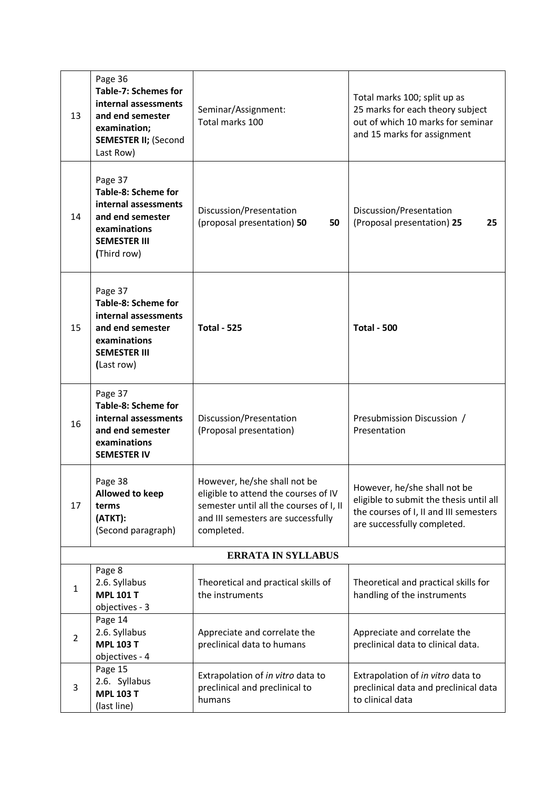| 13             | Page 36<br><b>Table-7: Schemes for</b><br>internal assessments<br>and end semester<br>examination;<br><b>SEMESTER II; (Second</b><br>Last Row) | Seminar/Assignment:<br>Total marks 100                                                                                                                              | Total marks 100; split up as<br>25 marks for each theory subject<br>out of which 10 marks for seminar<br>and 15 marks for assignment             |
|----------------|------------------------------------------------------------------------------------------------------------------------------------------------|---------------------------------------------------------------------------------------------------------------------------------------------------------------------|--------------------------------------------------------------------------------------------------------------------------------------------------|
| 14             | Page 37<br>Table-8: Scheme for<br>internal assessments<br>and end semester<br>examinations<br><b>SEMESTER III</b><br>(Third row)               | Discussion/Presentation<br>(proposal presentation) 50<br>50                                                                                                         | Discussion/Presentation<br>(Proposal presentation) 25<br>25                                                                                      |
| 15             | Page 37<br>Table-8: Scheme for<br>internal assessments<br>and end semester<br>examinations<br><b>SEMESTER III</b><br>(Last row)                | <b>Total - 525</b>                                                                                                                                                  | <b>Total - 500</b>                                                                                                                               |
| 16             | Page 37<br>Table-8: Scheme for<br>internal assessments<br>and end semester<br>examinations<br><b>SEMESTER IV</b>                               | Discussion/Presentation<br>(Proposal presentation)                                                                                                                  | Presubmission Discussion /<br>Presentation                                                                                                       |
| 17             | Page 38<br>Allowed to keep<br>terms<br>(ATKT):<br>(Second paragraph)                                                                           | However, he/she shall not be<br>eligible to attend the courses of IV<br>semester until all the courses of I, II<br>and III semesters are successfully<br>completed. | However, he/she shall not be<br>eligible to submit the thesis until all<br>the courses of I, II and III semesters<br>are successfully completed. |
|                |                                                                                                                                                | <b>ERRATA IN SYLLABUS</b>                                                                                                                                           |                                                                                                                                                  |
| $\mathbf{1}$   | Page 8<br>2.6. Syllabus<br><b>MPL 101 T</b><br>objectives - 3                                                                                  | Theoretical and practical skills of<br>the instruments                                                                                                              | Theoretical and practical skills for<br>handling of the instruments                                                                              |
| $\overline{2}$ | Page 14<br>2.6. Syllabus<br><b>MPL 103 T</b><br>objectives - 4                                                                                 | Appreciate and correlate the<br>preclinical data to humans                                                                                                          | Appreciate and correlate the<br>preclinical data to clinical data.                                                                               |
| 3              | Page 15<br>2.6. Syllabus<br><b>MPL 103 T</b><br>(last line)                                                                                    | Extrapolation of in vitro data to<br>preclinical and preclinical to<br>humans                                                                                       | Extrapolation of in vitro data to<br>preclinical data and preclinical data<br>to clinical data                                                   |